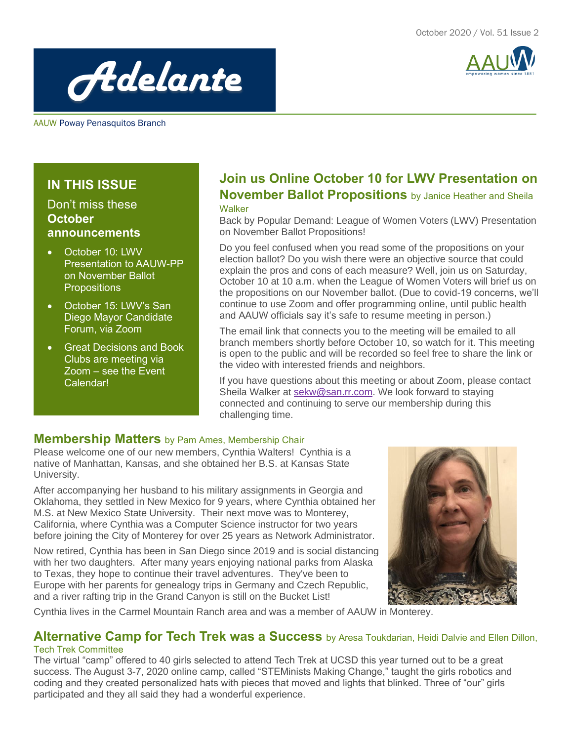



AAUW Poway Penasquitos Branch

## **IN THIS ISSUE**

## Don't miss these **October announcements**

- October 10: LWV Presentation to AAUW-PP on November Ballot **Propositions**
- October 15: LWV's San Diego Mayor Candidate Forum, via Zoom
- Great Decisions and Book Clubs are meeting via Zoom – see the Event Calendar!

## **Join us Online October 10 for LWV Presentation on November Ballot Propositions** by Janice Heather and Sheila **Walker**

Back by Popular Demand: League of Women Voters (LWV) Presentation on November Ballot Propositions!

Do you feel confused when you read some of the propositions on your election ballot? Do you wish there were an objective source that could explain the pros and cons of each measure? Well, join us on Saturday, October 10 at 10 a.m. when the League of Women Voters will brief us on the propositions on our November ballot. (Due to covid-19 concerns, we'll continue to use Zoom and offer programming online, until public health and AAUW officials say it's safe to resume meeting in person.)

The email link that connects you to the meeting will be emailed to all branch members shortly before October 10, so watch for it. This meeting is open to the public and will be recorded so feel free to share the link or the video with interested friends and neighbors.

If you have questions about this meeting or about Zoom, please contact Sheila Walker at [sekw@san.rr.com.](mailto:sekw@san.rr.com) We look forward to staying connected and continuing to serve our membership during this challenging time.

## **Membership Matters** by Pam Ames, Membership Chair

Please welcome one of our new members, Cynthia Walters! Cynthia is a native of Manhattan, Kansas, and she obtained her B.S. at Kansas State University.

After accompanying her husband to his military assignments in Georgia and Oklahoma, they settled in New Mexico for 9 years, where Cynthia obtained her M.S. at New Mexico State University. Their next move was to Monterey, California, where Cynthia was a Computer Science instructor for two years before joining the City of Monterey for over 25 years as Network Administrator.

Now retired, Cynthia has been in San Diego since 2019 and is social distancing with her two daughters. After many years enjoying national parks from Alaska to Texas, they hope to continue their travel adventures. They've been to Europe with her parents for genealogy trips in Germany and Czech Republic, and a river rafting trip in the Grand Canyon is still on the Bucket List!



Cynthia lives in the Carmel Mountain Ranch area and was a member of AAUW in Monterey.

#### **Alternative Camp for Tech Trek was a Success** by Aresa Toukdarian, Heidi Dalvie and Ellen Dillon, Tech Trek Committee

The virtual "camp" offered to 40 girls selected to attend Tech Trek at UCSD this year turned out to be a great success. The August 3-7, 2020 online camp, called "STEMinists Making Change," taught the girls robotics and coding and they created personalized hats with pieces that moved and lights that blinked. Three of "our" girls participated and they all said they had a wonderful experience.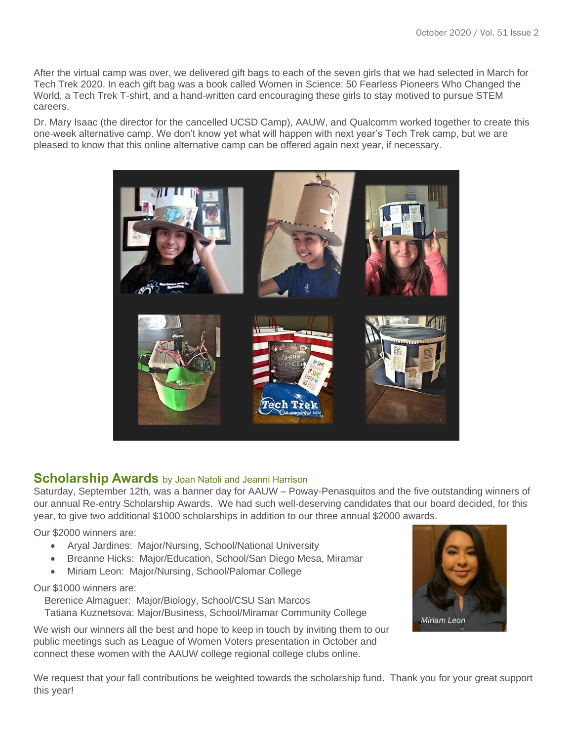After the virtual camp was over, we delivered gift bags to each of the seven girls that we had selected in March for Tech Trek 2020. In each gift bag was a book called Women in Science: 50 Fearless Pioneers Who Changed the World, a Tech Trek T-shirt, and a hand-written card encouraging these girls to stay motived to pursue STEM careers.

Dr. Mary Isaac (the director for the cancelled UCSD Camp), AAUW, and Qualcomm worked together to create this one-week alternative camp. We don't know yet what will happen with next year's Tech Trek camp, but we are pleased to know that this online alternative camp can be offered again next year, if necessary.



## **Scholarship Awards** by Joan Natoli and Jeanni Harrison

Saturday, September 12th, was a banner day for AAUW – Poway-Penasquitos and the five outstanding winners of our annual Re-entry Scholarship Awards. We had such well-deserving candidates that our board decided, for this year, to give two additional \$1000 scholarships in addition to our three annual \$2000 awards.

Our \$2000 winners are:

- Aryal Jardines: Major/Nursing, School/National University
- Breanne Hicks: Major/Education, School/San Diego Mesa, Miramar
- Miriam Leon: Major/Nursing, School/Palomar College

Our \$1000 winners are:

 Berenice Almaguer: Major/Biology, School/CSU San Marcos Tatiana Kuznetsova: Major/Business, School/Miramar Community College

We wish our winners all the best and hope to keep in touch by inviting them to our public meetings such as League of Women Voters presentation in October and connect these women with the AAUW college regional college clubs online.



We request that your fall contributions be weighted towards the scholarship fund. Thank you for your great support this year!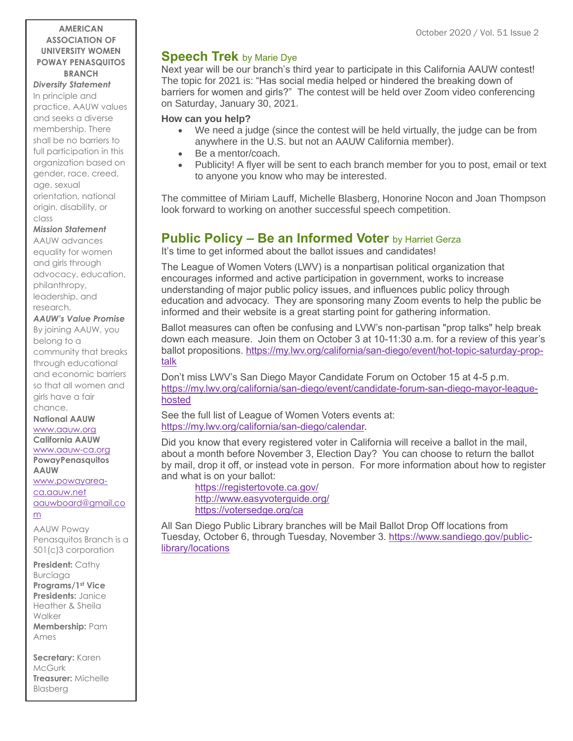#### **AMERICAN ASSOCIATION OF UNIVERSITY WOMEN POWAY PENASQUITOS BRANCH**

*Diversity Statement* In principle and practice, AAUW values and seeks a diverse membership. There shall be no barriers to full participation in this organization based on gender, race, creed, age, sexual orientation, national origin, disability, or class

#### *Mission Statement*

AAUW advances equality for women and girls through advocacy, education, philanthropy, leadership, and research.

#### *AAUW's Value Promise*

By joining AAUW, you belong to a community that breaks through educational and economic barriers so that all women and girls have a fair chance.

**National AAUW** [www.aauw.org](http://www.aauw.org/) **California AAUW**

[www.aauw-ca.org](http://www.aauw-ca.org/)

**PowayPenasquitos AAUW** [www.powayarea](http://www.powayarea-ca.aauw.net/)[ca.aauw.net](http://www.powayarea-ca.aauw.net/)

[aauwboard@gmail.co](mailto:aauwboard@gmail.com) [m](mailto:aauwboard@gmail.com)

AAUW Poway Penasquitos Branch is a 501(c)3 corporation

**President:** Cathy Burciaga **Programs/1st Vice Presidents:** Janice Heather & Sheila Walker **Membership:** Pam Ames

**Secretary:** Karen McGurk **Treasurer:** Michelle Blasberg

## **Speech Trek** by Marie Dye

Next year will be our branch's third year to participate in this California AAUW contest! The topic for 2021 is: "Has social media helped or hindered the breaking down of barriers for women and girls?" The contest will be held over Zoom video conferencing on Saturday, January 30, 2021.

#### **How can you help?**

- We need a judge (since the contest will be held virtually, the judge can be from anywhere in the U.S. but not an AAUW California member).
- Be a mentor/coach.
- Publicity! A flyer will be sent to each branch member for you to post, email or text to anyone you know who may be interested.

The committee of Miriam Lauff, Michelle Blasberg, Honorine Nocon and Joan Thompson look forward to working on another successful speech competition.

## **Public Policy – Be an Informed Voter** by Harriet Gerza

It's time to get informed about the ballot issues and candidates!

The League of Women Voters (LWV) is a nonpartisan political organization that encourages informed and active participation in government, works to increase understanding of major public policy issues, and influences public policy through education and advocacy. They are sponsoring many Zoom events to help the public be informed and their website is a great starting point for gathering information.

Ballot measures can often be confusing and LVW's non-partisan "prop talks" help break down each measure. Join them on October 3 at 10-11:30 a.m. for a review of this year's ballot propositions. [https://my.lwv.org/california/san-diego/event/hot-topic-saturday-prop](https://my.lwv.org/california/san-diego/event/hot-topic-saturday-prop-talk)[talk](https://my.lwv.org/california/san-diego/event/hot-topic-saturday-prop-talk)

Don't miss LWV's San Diego Mayor Candidate Forum on October 15 at 4-5 p.m. [https://my.lwv.org/california/san-diego/event/candidate-forum-san-diego-mayor-league](https://my.lwv.org/california/san-diego/event/candidate-forum-san-diego-mayor-league-hosted)[hosted](https://my.lwv.org/california/san-diego/event/candidate-forum-san-diego-mayor-league-hosted)

See the full list of League of Women Voters events at: [https://my.lwv.org/california/san-diego/calendar.](https://my.lwv.org/california/san-diego/calendar)

Did you know that every registered voter in California will receive a ballot in the mail, about a month before November 3, Election Day? You can choose to return the ballot by mail, drop it off, or instead vote in person. For more information about how to register and what is on your ballot:

<https://registertovote.ca.gov/> <http://www.easyvoterguide.org/> <https://votersedge.org/ca>

All San Diego Public Library branches will be Mail Ballot Drop Off locations from Tuesday, October 6, through Tuesday, November 3. [https://www.sandiego.gov/public](https://www.sandiego.gov/public-library/locations)[library/locations](https://www.sandiego.gov/public-library/locations)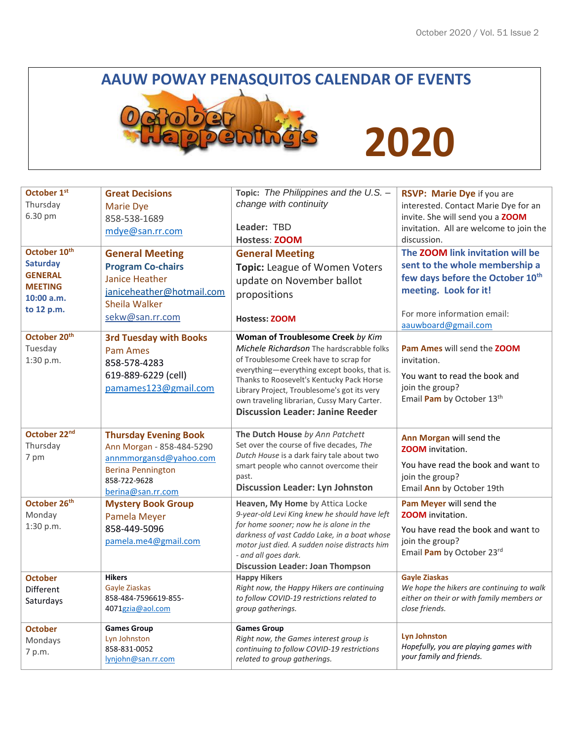## **AAUW POWAY PENASQUITOS CALENDAR OF EVENTS**



# **2020**

| October 1st<br>Thursday<br>6.30 pm<br>October 10th<br><b>Saturday</b><br><b>GENERAL</b><br><b>MEETING</b><br>10:00 a.m.<br>to 12 p.m. | <b>Great Decisions</b><br><b>Marie Dye</b><br>858-538-1689<br>mdye@san.rr.com<br><b>General Meeting</b><br><b>Program Co-chairs</b><br><b>Janice Heather</b><br>janiceheather@hotmail.com<br>Sheila Walker<br>sekw@san.rr.com | Topic: The Philippines and the U.S. -<br>change with continuity<br>Leader: TBD<br><b>Hostess: ZOOM</b><br><b>General Meeting</b><br>Topic: League of Women Voters<br>update on November ballot<br>propositions<br><b>Hostess: ZOOM</b>                                                                                                                         | RSVP: Marie Dye if you are<br>interested. Contact Marie Dye for an<br>invite. She will send you a ZOOM<br>invitation. All are welcome to join the<br>discussion.<br>The ZOOM link invitation will be<br>sent to the whole membership a<br>few days before the October 10th<br>meeting. Look for it!<br>For more information email: |
|---------------------------------------------------------------------------------------------------------------------------------------|-------------------------------------------------------------------------------------------------------------------------------------------------------------------------------------------------------------------------------|----------------------------------------------------------------------------------------------------------------------------------------------------------------------------------------------------------------------------------------------------------------------------------------------------------------------------------------------------------------|------------------------------------------------------------------------------------------------------------------------------------------------------------------------------------------------------------------------------------------------------------------------------------------------------------------------------------|
| October 20 <sup>th</sup><br>Tuesday<br>1:30 p.m.                                                                                      | <b>3rd Tuesday with Books</b><br>Pam Ames<br>858-578-4283<br>619-889-6229 (cell)<br>pamames123@gmail.com                                                                                                                      | Woman of Troublesome Creek by Kim<br>Michele Richardson The hardscrabble folks<br>of Troublesome Creek have to scrap for<br>everything-everything except books, that is.<br>Thanks to Roosevelt's Kentucky Pack Horse<br>Library Project, Troublesome's got its very<br>own traveling librarian, Cussy Mary Carter.<br><b>Discussion Leader: Janine Reeder</b> | aauwboard@gmail.com<br>Pam Ames will send the ZOOM<br>invitation.<br>You want to read the book and<br>join the group?<br>Email Pam by October 13th                                                                                                                                                                                 |
| October 22nd<br>Thursday<br>7 pm                                                                                                      | <b>Thursday Evening Book</b><br>Ann Morgan - 858-484-5290<br>annmmorgansd@yahoo.com<br><b>Berina Pennington</b><br>858-722-9628<br>berina@san.rr.com                                                                          | The Dutch House by Ann Patchett<br>Set over the course of five decades, The<br>Dutch House is a dark fairy tale about two<br>smart people who cannot overcome their<br>past.<br><b>Discussion Leader: Lyn Johnston</b>                                                                                                                                         | Ann Morgan will send the<br><b>ZOOM</b> invitation.<br>You have read the book and want to<br>join the group?<br>Email Ann by October 19th                                                                                                                                                                                          |
| October 26 <sup>th</sup><br>Monday<br>1:30 p.m.                                                                                       | <b>Mystery Book Group</b><br>Pamela Meyer<br>858-449-5096<br>pamela.me4@gmail.com                                                                                                                                             | Heaven, My Home by Attica Locke<br>9-year-old Levi King knew he should have left<br>for home sooner; now he is alone in the<br>darkness of vast Caddo Lake, in a boat whose<br>motor just died. A sudden noise distracts him<br>- and all goes dark.<br><b>Discussion Leader: Joan Thompson</b>                                                                | Pam Meyer will send the<br><b>ZOOM</b> invitation.<br>You have read the book and want to<br>join the group?<br>Email Pam by October 23rd                                                                                                                                                                                           |
| <b>October</b><br>Different<br>Saturdays                                                                                              | <b>Hikers</b><br>Gayle Ziaskas<br>858-484-7596619-855-<br>4071gzia@aol.com                                                                                                                                                    | <b>Happy Hikers</b><br>Right now, the Happy Hikers are continuing<br>to follow COVID-19 restrictions related to<br>group gatherings.                                                                                                                                                                                                                           | <b>Gayle Ziaskas</b><br>We hope the hikers are continuing to walk<br>either on their or with family members or<br>close friends.                                                                                                                                                                                                   |
| <b>October</b><br>Mondays<br>7 p.m.                                                                                                   | <b>Games Group</b><br>Lyn Johnston<br>858-831-0052<br>lynjohn@san.rr.com                                                                                                                                                      | <b>Games Group</b><br>Right now, the Games interest group is<br>continuing to follow COVID-19 restrictions<br>related to group gatherings.                                                                                                                                                                                                                     | <b>Lyn Johnston</b><br>Hopefully, you are playing games with<br>your family and friends.                                                                                                                                                                                                                                           |